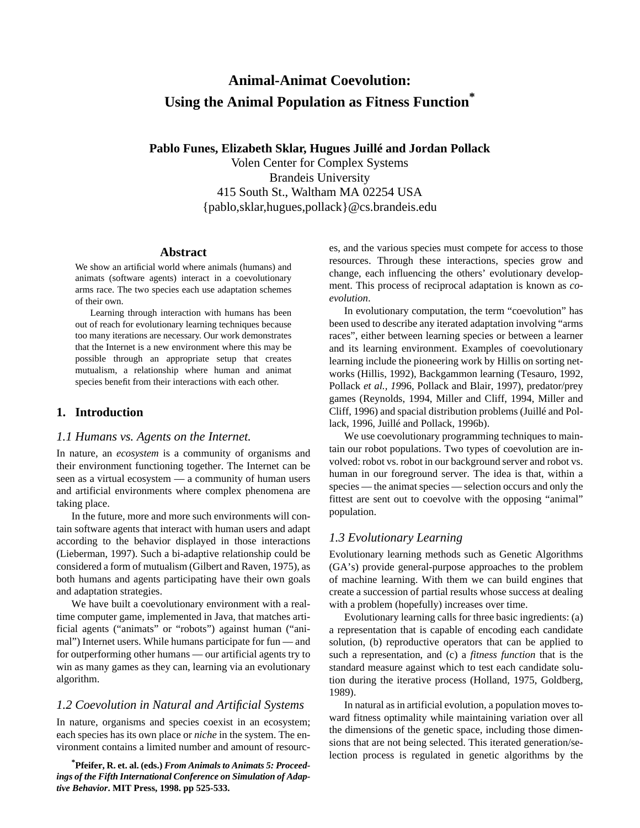# **Animal-Animat Coevolution: Using the Animal Population as Fitness Function\***

**Pablo Funes, Elizabeth Sklar, Hugues Juillé and Jordan Pollack**

Volen Center for Complex Systems Brandeis University 415 South St., Waltham MA 02254 USA {pablo,sklar,hugues,pollack}@cs.brandeis.edu

### **Abstract**

We show an artificial world where animals (humans) and animats (software agents) interact in a coevolutionary arms race. The two species each use adaptation schemes of their own.

Learning through interaction with humans has been out of reach for evolutionary learning techniques because too many iterations are necessary. Our work demonstrates that the Internet is a new environment where this may be possible through an appropriate setup that creates mutualism, a relationship where human and animat species benefit from their interactions with each other.

# **1. Introduction**

# *1.1 Humans vs. Agents on the Internet.*

In nature, an *ecosystem* is a community of organisms and their environment functioning together. The Internet can be seen as a virtual ecosystem — a community of human users and artificial environments where complex phenomena are taking place.

In the future, more and more such environments will contain software agents that interact with human users and adapt according to the behavior displayed in those interactions (Lieberman, 1997). Such a bi-adaptive relationship could be considered a form of mutualism (Gilbert and Raven, 1975), as both humans and agents participating have their own goals and adaptation strategies.

We have built a coevolutionary environment with a realtime computer game, implemented in Java, that matches artificial agents ("animats" or "robots") against human ("animal") Internet users. While humans participate for fun — and for outperforming other humans — our artificial agents try to win as many games as they can, learning via an evolutionary algorithm.

#### *1.2 Coevolution in Natural and Artificial Systems*

In nature, organisms and species coexist in an ecosystem; each species has its own place or *niche* in the system. The environment contains a limited number and amount of resourc-

**\* Pfeifer, R. et. al. (eds.)** *From Animals to Animats 5: Proceedings of the Fifth International Conference on Simulation of Adaptive Behavior***. MIT Press, 1998. pp 525-533.**

es, and the various species must compete for access to those resources. Through these interactions, species grow and change, each influencing the others' evolutionary development. This process of reciprocal adaptation is known as *coevolution*.

In evolutionary computation, the term "coevolution" has been used to describe any iterated adaptation involving "arms races", either between learning species or between a learner and its learning environment. Examples of coevolutionary learning include the pioneering work by Hillis on sorting networks (Hillis, 1992), Backgammon learning (Tesauro, 1992, Pollack *et al., 19*96, Pollack and Blair, 1997), predator/prey games (Reynolds, 1994, Miller and Cliff, 1994, Miller and Cliff, 1996) and spacial distribution problems (Juillé and Pollack, 1996, Juillé and Pollack, 1996b).

We use coevolutionary programming techniques to maintain our robot populations. Two types of coevolution are involved: robot vs. robot in our background server and robot vs. human in our foreground server. The idea is that, within a species — the animat species — selection occurs and only the fittest are sent out to coevolve with the opposing "animal" population.

## *1.3 Evolutionary Learning*

Evolutionary learning methods such as Genetic Algorithms (GA's) provide general-purpose approaches to the problem of machine learning. With them we can build engines that create a succession of partial results whose success at dealing with a problem (hopefully) increases over time.

Evolutionary learning calls for three basic ingredients: (a) a representation that is capable of encoding each candidate solution, (b) reproductive operators that can be applied to such a representation, and (c) a *fitness function* that is the standard measure against which to test each candidate solution during the iterative process (Holland, 1975, Goldberg, 1989).

In natural as in artificial evolution, a population moves toward fitness optimality while maintaining variation over all the dimensions of the genetic space, including those dimensions that are not being selected. This iterated generation/selection process is regulated in genetic algorithms by the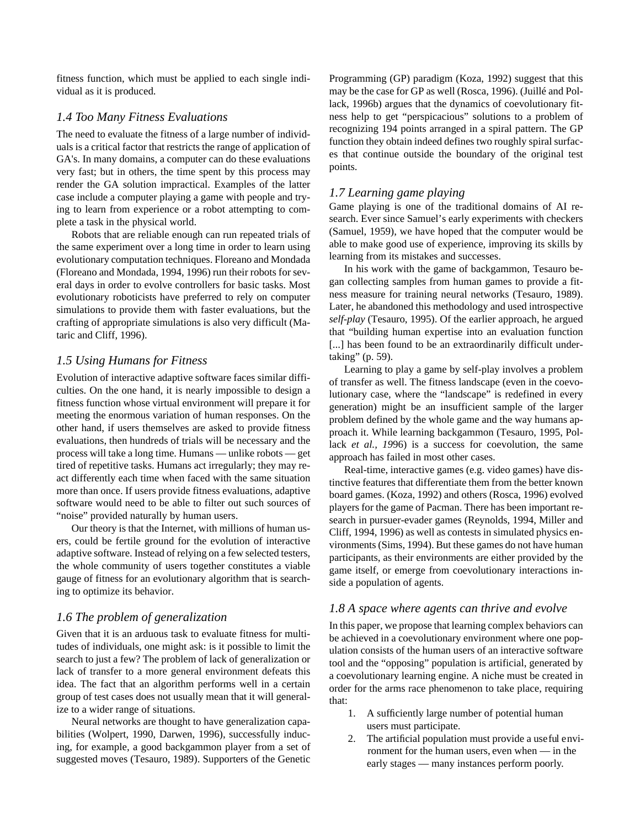fitness function, which must be applied to each single individual as it is produced.

## *1.4 Too Many Fitness Evaluations*

The need to evaluate the fitness of a large number of individuals is a critical factor that restricts the range of application of GA's. In many domains, a computer can do these evaluations very fast; but in others, the time spent by this process may render the GA solution impractical. Examples of the latter case include a computer playing a game with people and trying to learn from experience or a robot attempting to complete a task in the physical world.

Robots that are reliable enough can run repeated trials of the same experiment over a long time in order to learn using evolutionary computation techniques. Floreano and Mondada (Floreano and Mondada, 1994, 1996) run their robots for several days in order to evolve controllers for basic tasks. Most evolutionary roboticists have preferred to rely on computer simulations to provide them with faster evaluations, but the crafting of appropriate simulations is also very difficult (Mataric and Cliff, 1996).

## *1.5 Using Humans for Fitness*

Evolution of interactive adaptive software faces similar difficulties. On the one hand, it is nearly impossible to design a fitness function whose virtual environment will prepare it for meeting the enormous variation of human responses. On the other hand, if users themselves are asked to provide fitness evaluations, then hundreds of trials will be necessary and the process will take a long time. Humans — unlike robots — get tired of repetitive tasks. Humans act irregularly; they may react differently each time when faced with the same situation more than once. If users provide fitness evaluations, adaptive software would need to be able to filter out such sources of "noise" provided naturally by human users.

Our theory is that the Internet, with millions of human users, could be fertile ground for the evolution of interactive adaptive software. Instead of relying on a few selected testers, the whole community of users together constitutes a viable gauge of fitness for an evolutionary algorithm that is searching to optimize its behavior.

# *1.6 The problem of generalization*

Given that it is an arduous task to evaluate fitness for multitudes of individuals, one might ask: is it possible to limit the search to just a few? The problem of lack of generalization or lack of transfer to a more general environment defeats this idea. The fact that an algorithm performs well in a certain group of test cases does not usually mean that it will generalize to a wider range of situations.

Neural networks are thought to have generalization capabilities (Wolpert, 1990, Darwen, 1996), successfully inducing, for example, a good backgammon player from a set of suggested moves (Tesauro, 1989). Supporters of the Genetic Programming (GP) paradigm (Koza, 1992) suggest that this may be the case for GP as well (Rosca, 1996). (Juillé and Pollack, 1996b) argues that the dynamics of coevolutionary fitness help to get "perspicacious" solutions to a problem of recognizing 194 points arranged in a spiral pattern. The GP function they obtain indeed defines two roughly spiral surfaces that continue outside the boundary of the original test points.

# *1.7 Learning game playing*

Game playing is one of the traditional domains of AI research. Ever since Samuel's early experiments with checkers (Samuel, 1959), we have hoped that the computer would be able to make good use of experience, improving its skills by learning from its mistakes and successes.

In his work with the game of backgammon, Tesauro began collecting samples from human games to provide a fitness measure for training neural networks (Tesauro, 1989). Later, he abandoned this methodology and used introspective *self-play* (Tesauro, 1995). Of the earlier approach, he argued that "building human expertise into an evaluation function [...] has been found to be an extraordinarily difficult undertaking" (p. 59).

Learning to play a game by self-play involves a problem of transfer as well. The fitness landscape (even in the coevolutionary case, where the "landscape" is redefined in every generation) might be an insufficient sample of the larger problem defined by the whole game and the way humans approach it. While learning backgammon (Tesauro, 1995, Pollack *et al., 19*96) is a success for coevolution, the same approach has failed in most other cases.

Real-time, interactive games (e.g. video games) have distinctive features that differentiate them from the better known board games. (Koza, 1992) and others (Rosca, 1996) evolved players for the game of Pacman. There has been important research in pursuer-evader games (Reynolds, 1994, Miller and Cliff, 1994, 1996) as well as contests in simulated physics environments (Sims, 1994). But these games do not have human participants, as their environments are either provided by the game itself, or emerge from coevolutionary interactions inside a population of agents.

## *1.8 A space where agents can thrive and evolve*

In this paper, we propose that learning complex behaviors can be achieved in a coevolutionary environment where one population consists of the human users of an interactive software tool and the "opposing" population is artificial, generated by a coevolutionary learning engine. A niche must be created in order for the arms race phenomenon to take place, requiring that:

- 1. A sufficiently large number of potential human users must participate.
- 2. The artificial population must provide a useful environment for the human users, even when — in the early stages — many instances perform poorly.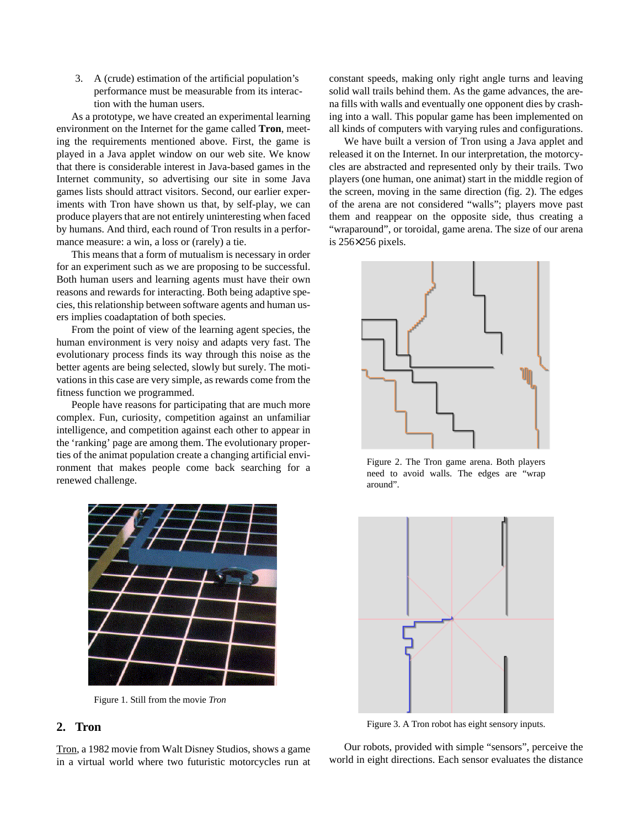3. A (crude) estimation of the artificial population's performance must be measurable from its interaction with the human users.

As a prototype, we have created an experimental learning environment on the Internet for the game called **Tron**, meeting the requirements mentioned above. First, the game is played in a Java applet window on our web site. We know that there is considerable interest in Java-based games in the Internet community, so advertising our site in some Java games lists should attract visitors. Second, our earlier experiments with Tron have shown us that, by self-play, we can produce players that are not entirely uninteresting when faced by humans. And third, each round of Tron results in a performance measure: a win, a loss or (rarely) a tie.

This means that a form of mutualism is necessary in order for an experiment such as we are proposing to be successful. Both human users and learning agents must have their own reasons and rewards for interacting. Both being adaptive species, this relationship between software agents and human users implies coadaptation of both species.

From the point of view of the learning agent species, the human environment is very noisy and adapts very fast. The evolutionary process finds its way through this noise as the better agents are being selected, slowly but surely. The motivations in this case are very simple, as rewards come from the fitness function we programmed.

People have reasons for participating that are much more complex. Fun, curiosity, competition against an unfamiliar intelligence, and competition against each other to appear in the 'ranking' page are among them. The evolutionary properties of the animat population create a changing artificial environment that makes people come back searching for a renewed challenge.



Figure 1. Still from the movie *Tron*

# **2. Tron**

Tron, a 1982 movie from Walt Disney Studios, shows a game in a virtual world where two futuristic motorcycles run at constant speeds, making only right angle turns and leaving solid wall trails behind them. As the game advances, the arena fills with walls and eventually one opponent dies by crashing into a wall. This popular game has been implemented on all kinds of computers with varying rules and configurations.

We have built a version of Tron using a Java applet and released it on the Internet. In our interpretation, the motorcycles are abstracted and represented only by their trails. Two players (one human, one animat) start in the middle region of the screen, moving in the same direction (fig. 2). The edges of the arena are not considered "walls"; players move past them and reappear on the opposite side, thus creating a "wraparound", or toroidal, game arena. The size of our arena is 256×256 pixels.



Figure 2. The Tron game arena. Both players need to avoid walls. The edges are "wrap around".



Figure 3. A Tron robot has eight sensory inputs.

Our robots, provided with simple "sensors", perceive the world in eight directions. Each sensor evaluates the distance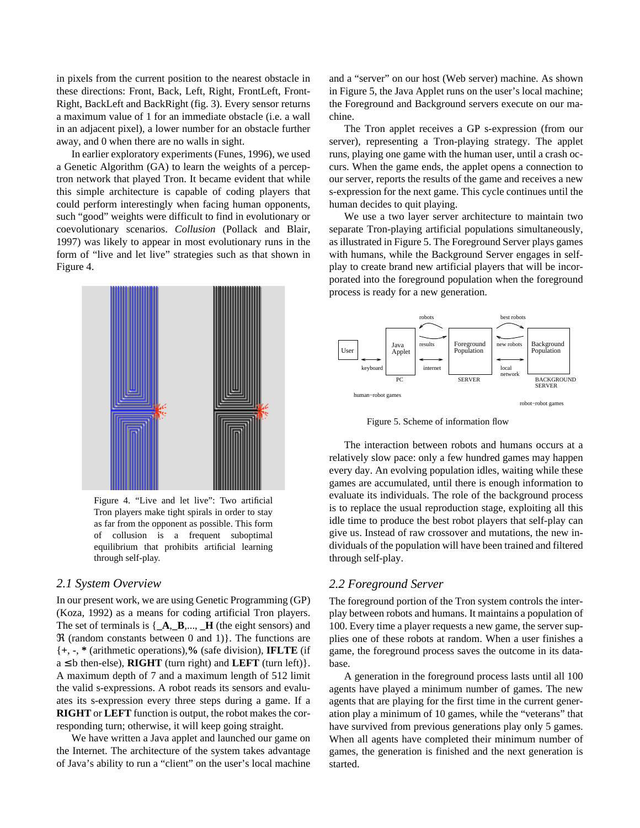in pixels from the current position to the nearest obstacle in these directions: Front, Back, Left, Right, FrontLeft, Front-Right, BackLeft and BackRight (fig. 3). Every sensor returns a maximum value of 1 for an immediate obstacle (i.e. a wall in an adjacent pixel), a lower number for an obstacle further away, and 0 when there are no walls in sight.

In earlier exploratory experiments (Funes, 1996), we used a Genetic Algorithm (GA) to learn the weights of a perceptron network that played Tron. It became evident that while this simple architecture is capable of coding players that could perform interestingly when facing human opponents, such "good" weights were difficult to find in evolutionary or coevolutionary scenarios. *Collusion* (Pollack and Blair, 1997) was likely to appear in most evolutionary runs in the form of "live and let live" strategies such as that shown in Figure 4.



Figure 4. "Live and let live": Two artificial Tron players make tight spirals in order to stay as far from the opponent as possible. This form of collusion is a frequent suboptimal equilibrium that prohibits artificial learning through self-play.

## *2.1 System Overview*

In our present work, we are using Genetic Programming (GP) (Koza, 1992) as a means for coding artificial Tron players. The set of terminals is {**\_A**,**\_B**,..., **\_H** (the eight sensors) and  $\Re$  (random constants between 0 and 1)}. The functions are {**+**, **-**, **\*** (arithmetic operations),**%** (safe division), **IFLTE** (if  $a \leq b$  then-else), **RIGHT** (turn right) and **LEFT** (turn left) }. A maximum depth of 7 and a maximum length of 512 limit the valid s-expressions. A robot reads its sensors and evaluates its s-expression every three steps during a game. If a **RIGHT** or **LEFT** function is output, the robot makes the corresponding turn; otherwise, it will keep going straight.

We have written a Java applet and launched our game on the Internet. The architecture of the system takes advantage of Java's ability to run a "client" on the user's local machine and a "server" on our host (Web server) machine. As shown in Figure 5, the Java Applet runs on the user's local machine; the Foreground and Background servers execute on our machine.

The Tron applet receives a GP s-expression (from our server), representing a Tron-playing strategy. The applet runs, playing one game with the human user, until a crash occurs. When the game ends, the applet opens a connection to our server, reports the results of the game and receives a new s-expression for the next game. This cycle continues until the human decides to quit playing.

We use a two layer server architecture to maintain two separate Tron-playing artificial populations simultaneously, as illustrated in Figure 5. The Foreground Server plays games with humans, while the Background Server engages in selfplay to create brand new artificial players that will be incorporated into the foreground population when the foreground process is ready for a new generation.



Figure 5. Scheme of information flow

The interaction between robots and humans occurs at a relatively slow pace: only a few hundred games may happen every day. An evolving population idles, waiting while these games are accumulated, until there is enough information to evaluate its individuals. The role of the background process is to replace the usual reproduction stage, exploiting all this idle time to produce the best robot players that self-play can give us. Instead of raw crossover and mutations, the new individuals of the population will have been trained and filtered through self-play.

## *2.2 Foreground Server*

The foreground portion of the Tron system controls the interplay between robots and humans. It maintains a population of 100. Every time a player requests a new game, the server supplies one of these robots at random. When a user finishes a game, the foreground process saves the outcome in its database.

A generation in the foreground process lasts until all 100 agents have played a minimum number of games. The new agents that are playing for the first time in the current generation play a minimum of 10 games, while the "veterans" that have survived from previous generations play only 5 games. When all agents have completed their minimum number of games, the generation is finished and the next generation is started.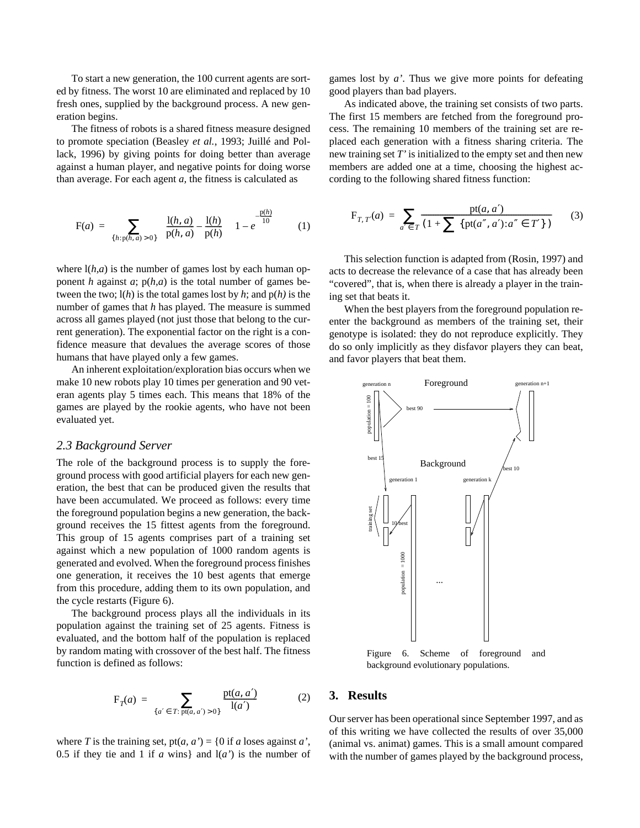To start a new generation, the 100 current agents are sorted by fitness. The worst 10 are eliminated and replaced by 10 fresh ones, supplied by the background process. A new generation begins.

The fitness of robots is a shared fitness measure designed to promote speciation (Beasley *et al.*, 1993; Juillé and Pollack, 1996) by giving points for doing better than average against a human player, and negative points for doing worse than average. For each agent *a,* the fitness is calculated as

$$
F(a) = \sum_{\{h: p(h, a) > 0\}} \left( \frac{l(h, a)}{p(h, a)} - \frac{l(h)}{p(h)} \right) \left( 1 - e^{-\frac{p(h)}{10}} \right) \tag{1}
$$

where  $l(h,a)$  is the number of games lost by each human opponent *h* against  $a$ ;  $p(h,a)$  is the total number of games between the two; l(*h*) is the total games lost by *h*; and p(*h)* is the number of games that *h* has played. The measure is summed across all games played (not just those that belong to the current generation). The exponential factor on the right is a confidence measure that devalues the average scores of those humans that have played only a few games.

An inherent exploitation/exploration bias occurs when we make 10 new robots play 10 times per generation and 90 veteran agents play 5 times each. This means that 18% of the games are played by the rookie agents, who have not been evaluated yet.

#### *2.3 Background Server*

The role of the background process is to supply the foreground process with good artificial players for each new generation, the best that can be produced given the results that have been accumulated. We proceed as follows: every time the foreground population begins a new generation, the background receives the 15 fittest agents from the foreground. This group of 15 agents comprises part of a training set against which a new population of 1000 random agents is generated and evolved. When the foreground process finishes one generation, it receives the 10 best agents that emerge from this procedure, adding them to its own population, and the cycle restarts (Figure 6).

The background process plays all the individuals in its population against the training set of 25 agents. Fitness is evaluated, and the bottom half of the population is replaced by random mating with crossover of the best half. The fitness function is defined as follows:

$$
F_T(a) = \sum_{\{a' \in T: \text{pt}(a, a') > 0\}} \frac{\text{pt}(a, a')}{l(a')}
$$
 (2)

where *T* is the training set,  $pt(a, a') = \{0 \text{ if } a \text{ loses against } a'\}$ , 0.5 if they tie and 1 if  $a$  wins} and  $l(a')$  is the number of games lost by *a'*. Thus we give more points for defeating good players than bad players.

As indicated above, the training set consists of two parts. The first 15 members are fetched from the foreground process. The remaining 10 members of the training set are replaced each generation with a fitness sharing criteria. The new training set *T'* is initialized to the empty set and then new members are added one at a time, choosing the highest according to the following shared fitness function:

$$
F_{T, T'}(a) = \sum_{a' \in T} \frac{pt(a, a')}{(1 + \sum \{pt(a'', a') : a'' \in T'\})}
$$
(3)

This selection function is adapted from (Rosin, 1997) and acts to decrease the relevance of a case that has already been "covered", that is, when there is already a player in the training set that beats it.

When the best players from the foreground population reenter the background as members of the training set, their genotype is isolated: they do not reproduce explicitly. They do so only implicitly as they disfavor players they can beat, and favor players that beat them.



background evolutionary populations.

### **3. Results**

Our server has been operational since September 1997, and as of this writing we have collected the results of over 35,000 (animal vs. animat) games. This is a small amount compared with the number of games played by the background process,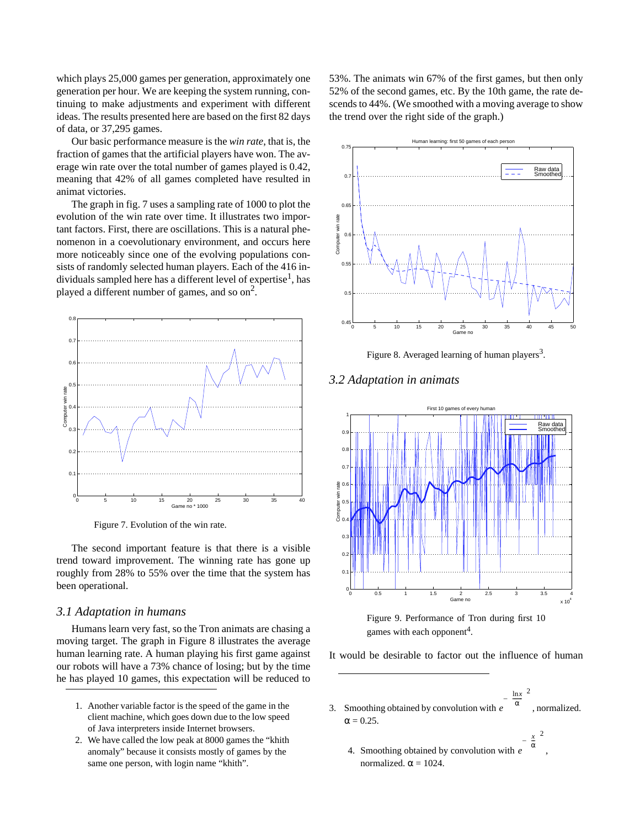which plays 25,000 games per generation, approximately one generation per hour. We are keeping the system running, continuing to make adjustments and experiment with different ideas. The results presented here are based on the first 82 days of data, or 37,295 games.

Our basic performance measure is the *win rate*, that is, the fraction of games that the artificial players have won. The average win rate over the total number of games played is 0.42, meaning that 42% of all games completed have resulted in animat victories.

The graph in fig. 7 uses a sampling rate of 1000 to plot the evolution of the win rate over time. It illustrates two important factors. First, there are oscillations. This is a natural phenomenon in a coevolutionary environment, and occurs here more noticeably since one of the evolving populations consists of randomly selected human players. Each of the 416 individuals sampled here has a different level of expertise<sup>1</sup>, has played a different number of games, and so on<sup>2</sup>.



Figure 7. Evolution of the win rate.

The second important feature is that there is a visible trend toward improvement. The winning rate has gone up roughly from 28% to 55% over the time that the system has been operational.

#### *3.1 Adaptation in humans*

Humans learn very fast, so the Tron animats are chasing a moving target. The graph in Figure 8 illustrates the average human learning rate. A human playing his first game against our robots will have a 73% chance of losing; but by the time he has played 10 games, this expectation will be reduced to

- 1. Another variable factor is the speed of the game in the client machine, which goes down due to the low speed of Java interpreters inside Internet browsers.
- 2. We have called the low peak at 8000 games the "khith anomaly" because it consists mostly of games by the same one person, with login name "khith".

53%. The animats win 67% of the first games, but then only 52% of the second games, etc. By the 10th game, the rate descends to 44%. (We smoothed with a moving average to show the trend over the right side of the graph.)



Figure 8. Averaged learning of human players<sup>3</sup>.

#### *3.2 Adaptation in animats*





It would be desirable to factor out the influence of human

3. Smoothing obtained by convolution with  $e^{i\alpha x}$ , normalized.  $\alpha = 0.25$ . *e*  $-\left(\frac{\ln x}{\alpha}\right)^2$ 

ln*x*

*x*

4. Smoothing obtained by convolution with  $e^{i\omega t}$ , normalized.  $\alpha = 1024$ .  $-\left(\frac{x}{\alpha}\right)^2$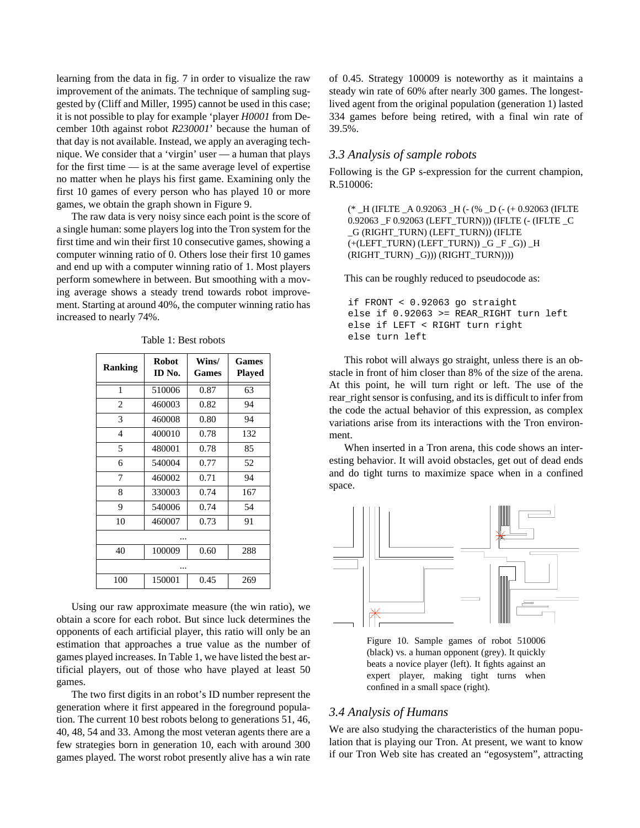learning from the data in fig. 7 in order to visualize the raw improvement of the animats. The technique of sampling suggested by (Cliff and Miller, 1995) cannot be used in this case; it is not possible to play for example 'player *H0001* from December 10th against robot *R230001*' because the human of that day is not available. Instead, we apply an averaging technique. We consider that a 'virgin' user — a human that plays for the first time — is at the same average level of expertise no matter when he plays his first game. Examining only the first 10 games of every person who has played 10 or more games, we obtain the graph shown in Figure 9.

The raw data is very noisy since each point is the score of a single human: some players log into the Tron system for the first time and win their first 10 consecutive games, showing a computer winning ratio of 0. Others lose their first 10 games and end up with a computer winning ratio of 1. Most players perform somewhere in between. But smoothing with a moving average shows a steady trend towards robot improvement. Starting at around 40%, the computer winning ratio has increased to nearly 74%.

| <b>Ranking</b> | <b>Robot</b><br>ID No. | Wins/<br><b>Games</b> | <b>Games</b><br><b>Played</b> |
|----------------|------------------------|-----------------------|-------------------------------|
| 1              | 510006                 | 0.87                  | 63                            |
| $\overline{2}$ | 460003                 | 0.82                  | 94                            |
| 3              | 460008                 | 0.80                  | 94                            |
| $\overline{4}$ | 400010                 | 0.78                  | 132                           |
| 5              | 480001                 | 0.78                  | 85                            |
| 6              | 540004                 | 0.77                  | 52                            |
| 7              | 460002                 | 0.71                  | 94                            |
| 8              | 330003                 | 0.74                  | 167                           |
| 9              | 540006                 | 0.74                  | 54                            |
| 10             | 460007                 | 0.73                  | 91                            |
|                |                        |                       |                               |
| 40             | 100009                 | 0.60                  | 288                           |
|                |                        |                       |                               |
| 100            | 150001                 | 0.45                  | 269                           |

Table 1: Best robots

Using our raw approximate measure (the win ratio), we obtain a score for each robot. But since luck determines the opponents of each artificial player, this ratio will only be an estimation that approaches a true value as the number of games played increases. In Table 1, we have listed the best artificial players, out of those who have played at least 50 games.

The two first digits in an robot's ID number represent the generation where it first appeared in the foreground population. The current 10 best robots belong to generations 51, 46, 40, 48, 54 and 33. Among the most veteran agents there are a few strategies born in generation 10, each with around 300 games played. The worst robot presently alive has a win rate of 0.45. Strategy 100009 is noteworthy as it maintains a steady win rate of 60% after nearly 300 games. The longestlived agent from the original population (generation 1) lasted 334 games before being retired, with a final win rate of 39.5%.

# *3.3 Analysis of sample robots*

Following is the GP s-expression for the current champion, R.510006:

(\* \_H (IFLTE \_A 0.92063 \_H (- (% \_D (- (+ 0.92063 (IFLTE 0.92063 F 0.92063 (LEFT TURN))) (IFLTE (- (IFLTE C \_G (RIGHT\_TURN) (LEFT\_TURN)) (IFLTE (+(LEFT\_TURN) (LEFT\_TURN)) \_G \_F \_G)) \_H (RIGHT\_TURN) \_G))) (RIGHT\_TURN))))

This can be roughly reduced to pseudocode as:

if FRONT < 0.92063 go straight else if 0.92063 >= REAR\_RIGHT turn left else if LEFT < RIGHT turn right else turn left

This robot will always go straight, unless there is an obstacle in front of him closer than 8% of the size of the arena. At this point, he will turn right or left. The use of the rear\_right sensor is confusing, and its is difficult to infer from the code the actual behavior of this expression, as complex variations arise from its interactions with the Tron environment.

When inserted in a Tron arena, this code shows an interesting behavior. It will avoid obstacles, get out of dead ends and do tight turns to maximize space when in a confined space.



Figure 10. Sample games of robot 510006 (black) vs. a human opponent (grey). It quickly beats a novice player (left). It fights against an expert player, making tight turns when confined in a small space (right).

# *3.4 Analysis of Humans*

We are also studying the characteristics of the human population that is playing our Tron. At present, we want to know if our Tron Web site has created an "egosystem", attracting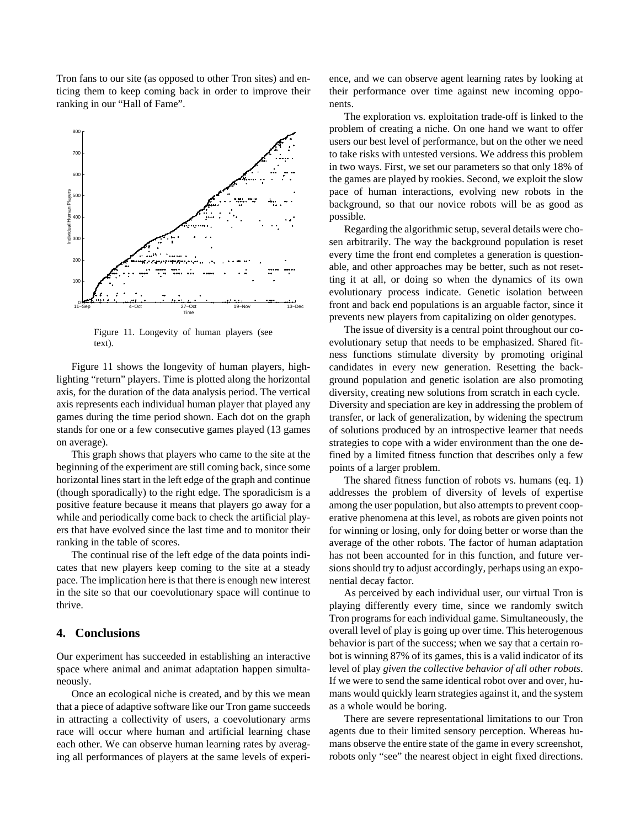Tron fans to our site (as opposed to other Tron sites) and enticing them to keep coming back in order to improve their ranking in our "Hall of Fame".



Figure 11. Longevity of human players (see text).

Figure 11 shows the longevity of human players, highlighting "return" players. Time is plotted along the horizontal axis, for the duration of the data analysis period. The vertical axis represents each individual human player that played any games during the time period shown. Each dot on the graph stands for one or a few consecutive games played (13 games on average).

This graph shows that players who came to the site at the beginning of the experiment are still coming back, since some horizontal lines start in the left edge of the graph and continue (though sporadically) to the right edge. The sporadicism is a positive feature because it means that players go away for a while and periodically come back to check the artificial players that have evolved since the last time and to monitor their ranking in the table of scores.

The continual rise of the left edge of the data points indicates that new players keep coming to the site at a steady pace. The implication here is that there is enough new interest in the site so that our coevolutionary space will continue to thrive.

# **4. Conclusions**

Our experiment has succeeded in establishing an interactive space where animal and animat adaptation happen simultaneously.

Once an ecological niche is created, and by this we mean that a piece of adaptive software like our Tron game succeeds in attracting a collectivity of users, a coevolutionary arms race will occur where human and artificial learning chase each other. We can observe human learning rates by averaging all performances of players at the same levels of experience, and we can observe agent learning rates by looking at their performance over time against new incoming opponents.

The exploration vs. exploitation trade-off is linked to the problem of creating a niche. On one hand we want to offer users our best level of performance, but on the other we need to take risks with untested versions. We address this problem in two ways. First, we set our parameters so that only 18% of the games are played by rookies. Second, we exploit the slow pace of human interactions, evolving new robots in the background, so that our novice robots will be as good as possible.

Regarding the algorithmic setup, several details were chosen arbitrarily. The way the background population is reset every time the front end completes a generation is questionable, and other approaches may be better, such as not resetting it at all, or doing so when the dynamics of its own evolutionary process indicate. Genetic isolation between front and back end populations is an arguable factor, since it prevents new players from capitalizing on older genotypes.

The issue of diversity is a central point throughout our coevolutionary setup that needs to be emphasized. Shared fitness functions stimulate diversity by promoting original candidates in every new generation. Resetting the background population and genetic isolation are also promoting diversity, creating new solutions from scratch in each cycle. Diversity and speciation are key in addressing the problem of transfer, or lack of generalization, by widening the spectrum of solutions produced by an introspective learner that needs strategies to cope with a wider environment than the one defined by a limited fitness function that describes only a few points of a larger problem.

The shared fitness function of robots vs. humans (eq. 1) addresses the problem of diversity of levels of expertise among the user population, but also attempts to prevent cooperative phenomena at this level, as robots are given points not for winning or losing, only for doing better or worse than the average of the other robots. The factor of human adaptation has not been accounted for in this function, and future versions should try to adjust accordingly, perhaps using an exponential decay factor.

As perceived by each individual user, our virtual Tron is playing differently every time, since we randomly switch Tron programs for each individual game. Simultaneously, the overall level of play is going up over time. This heterogenous behavior is part of the success; when we say that a certain robot is winning 87% of its games, this is a valid indicator of its level of play *given the collective behavior of all other robots*. If we were to send the same identical robot over and over, humans would quickly learn strategies against it, and the system as a whole would be boring.

There are severe representational limitations to our Tron agents due to their limited sensory perception. Whereas humans observe the entire state of the game in every screenshot, robots only "see" the nearest object in eight fixed directions.